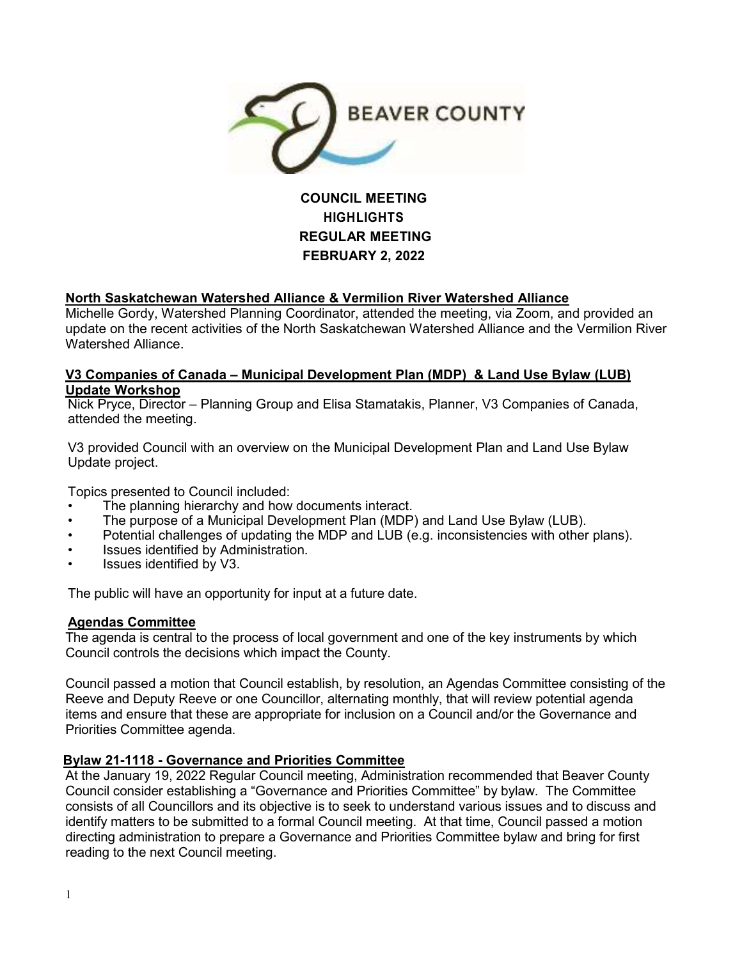

# **COUNCIL MEETING HIGHLIGHTS REGULAR MEETING FEBRUARY 2, 2022**

# **North Saskatchewan Watershed Alliance & Vermilion River Watershed Alliance**

Michelle Gordy, Watershed Planning Coordinator, attended the meeting, via Zoom, and provided an update on the recent activities of the North Saskatchewan Watershed Alliance and the Vermilion River Watershed Alliance.

### **V3 Companies of Canada – Municipal Development Plan (MDP) & Land Use Bylaw (LUB) Update Workshop**

Nick Pryce, Director – Planning Group and Elisa Stamatakis, Planner, V3 Companies of Canada, attended the meeting.

V3 provided Council with an overview on the Municipal Development Plan and Land Use Bylaw Update project.

Topics presented to Council included:

- The planning hierarchy and how documents interact.
- The purpose of a Municipal Development Plan (MDP) and Land Use Bylaw (LUB).
- Potential challenges of updating the MDP and LUB (e.g. inconsistencies with other plans).
- Issues identified by Administration.
- Issues identified by V3.

The public will have an opportunity for input at a future date.

# **Agendas Committee**

The agenda is central to the process of local government and one of the key instruments by which Council controls the decisions which impact the County.

Council passed a motion that Council establish, by resolution, an Agendas Committee consisting of the Reeve and Deputy Reeve or one Councillor, alternating monthly, that will review potential agenda items and ensure that these are appropriate for inclusion on a Council and/or the Governance and Priorities Committee agenda.

# **Bylaw 21-1118 - Governance and Priorities Committee**

At the January 19, 2022 Regular Council meeting, Administration recommended that Beaver County Council consider establishing a "Governance and Priorities Committee" by bylaw. The Committee consists of all Councillors and its objective is to seek to understand various issues and to discuss and identify matters to be submitted to a formal Council meeting. At that time, Council passed a motion directing administration to prepare a Governance and Priorities Committee bylaw and bring for first reading to the next Council meeting.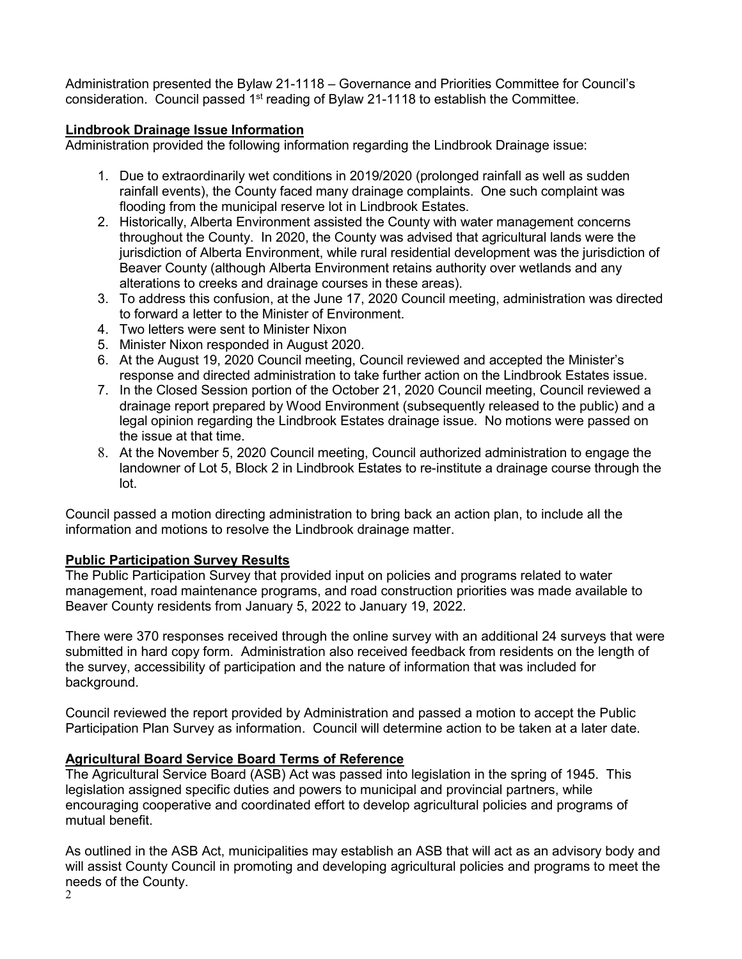Administration presented the Bylaw 21-1118 – Governance and Priorities Committee for Council's consideration. Council passed 1<sup>st</sup> reading of Bylaw 21-1118 to establish the Committee.

# **Lindbrook Drainage Issue Information**

Administration provided the following information regarding the Lindbrook Drainage issue:

- 1. Due to extraordinarily wet conditions in 2019/2020 (prolonged rainfall as well as sudden rainfall events), the County faced many drainage complaints. One such complaint was flooding from the municipal reserve lot in Lindbrook Estates.
- 2. Historically, Alberta Environment assisted the County with water management concerns throughout the County. In 2020, the County was advised that agricultural lands were the jurisdiction of Alberta Environment, while rural residential development was the jurisdiction of Beaver County (although Alberta Environment retains authority over wetlands and any alterations to creeks and drainage courses in these areas).
- 3. To address this confusion, at the June 17, 2020 Council meeting, administration was directed to forward a letter to the Minister of Environment.
- 4. Two letters were sent to Minister Nixon
- 5. Minister Nixon responded in August 2020.
- 6. At the August 19, 2020 Council meeting, Council reviewed and accepted the Minister's response and directed administration to take further action on the Lindbrook Estates issue.
- 7. In the Closed Session portion of the October 21, 2020 Council meeting, Council reviewed a drainage report prepared by Wood Environment (subsequently released to the public) and a legal opinion regarding the Lindbrook Estates drainage issue. No motions were passed on the issue at that time.
- 8. At the November 5, 2020 Council meeting, Council authorized administration to engage the landowner of Lot 5, Block 2 in Lindbrook Estates to re-institute a drainage course through the lot.

Council passed a motion directing administration to bring back an action plan, to include all the information and motions to resolve the Lindbrook drainage matter.

# **Public Participation Survey Results**

The Public Participation Survey that provided input on policies and programs related to water management, road maintenance programs, and road construction priorities was made available to Beaver County residents from January 5, 2022 to January 19, 2022.

There were 370 responses received through the online survey with an additional 24 surveys that were submitted in hard copy form. Administration also received feedback from residents on the length of the survey, accessibility of participation and the nature of information that was included for background.

Council reviewed the report provided by Administration and passed a motion to accept the Public Participation Plan Survey as information. Council will determine action to be taken at a later date.

# **Agricultural Board Service Board Terms of Reference**

The Agricultural Service Board (ASB) Act was passed into legislation in the spring of 1945. This legislation assigned specific duties and powers to municipal and provincial partners, while encouraging cooperative and coordinated effort to develop agricultural policies and programs of mutual benefit.

As outlined in the ASB Act, municipalities may establish an ASB that will act as an advisory body and will assist County Council in promoting and developing agricultural policies and programs to meet the needs of the County.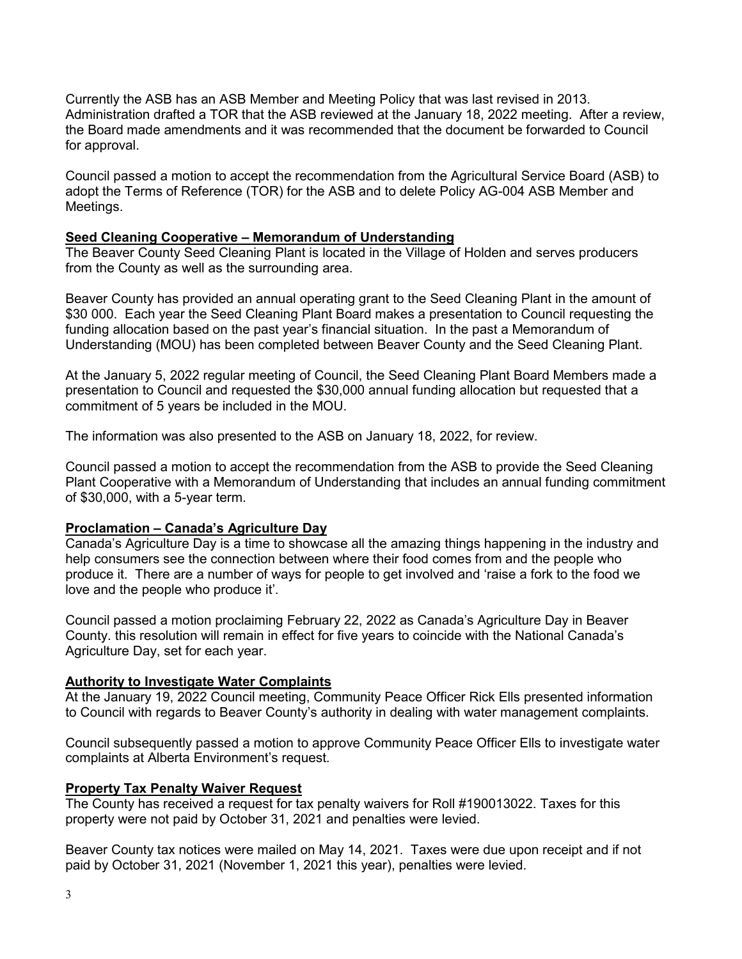Currently the ASB has an ASB Member and Meeting Policy that was last revised in 2013. Administration drafted a TOR that the ASB reviewed at the January 18, 2022 meeting. After a review, the Board made amendments and it was recommended that the document be forwarded to Council for approval.

Council passed a motion to accept the recommendation from the Agricultural Service Board (ASB) to adopt the Terms of Reference (TOR) for the ASB and to delete Policy AG-004 ASB Member and Meetings.

#### **Seed Cleaning Cooperative – Memorandum of Understanding**

The Beaver County Seed Cleaning Plant is located in the Village of Holden and serves producers from the County as well as the surrounding area.

Beaver County has provided an annual operating grant to the Seed Cleaning Plant in the amount of \$30 000. Each year the Seed Cleaning Plant Board makes a presentation to Council requesting the funding allocation based on the past year's financial situation. In the past a Memorandum of Understanding (MOU) has been completed between Beaver County and the Seed Cleaning Plant.

At the January 5, 2022 regular meeting of Council, the Seed Cleaning Plant Board Members made a presentation to Council and requested the \$30,000 annual funding allocation but requested that a commitment of 5 years be included in the MOU.

The information was also presented to the ASB on January 18, 2022, for review.

Council passed a motion to accept the recommendation from the ASB to provide the Seed Cleaning Plant Cooperative with a Memorandum of Understanding that includes an annual funding commitment of \$30,000, with a 5-year term.

#### **Proclamation – Canada's Agriculture Day**

Canada's Agriculture Day is a time to showcase all the amazing things happening in the industry and help consumers see the connection between where their food comes from and the people who produce it. There are a number of ways for people to get involved and 'raise a fork to the food we love and the people who produce it'.

Council passed a motion proclaiming February 22, 2022 as Canada's Agriculture Day in Beaver County. this resolution will remain in effect for five years to coincide with the National Canada's Agriculture Day, set for each year.

#### **Authority to Investigate Water Complaints**

At the January 19, 2022 Council meeting, Community Peace Officer Rick Ells presented information to Council with regards to Beaver County's authority in dealing with water management complaints.

Council subsequently passed a motion to approve Community Peace Officer Ells to investigate water complaints at Alberta Environment's request.

#### **Property Tax Penalty Waiver Request**

The County has received a request for tax penalty waivers for Roll #190013022. Taxes for this property were not paid by October 31, 2021 and penalties were levied.

Beaver County tax notices were mailed on May 14, 2021. Taxes were due upon receipt and if not paid by October 31, 2021 (November 1, 2021 this year), penalties were levied.